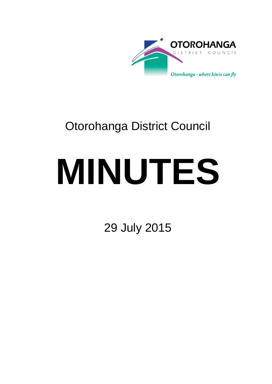

# Otorohanga District Council

# **MINUTES**

29 July 2015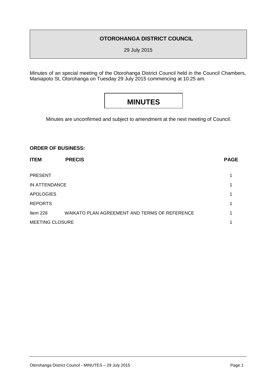### **OTOROHANGA DISTRICT COUNCIL**

29 July 2015

Minutes of an special meeting of the Otorohanga District Council held in the Council Chambers, Maniapoto St, Otorohanga on Tuesday 29 July 2015 commencing at 10.25 am.

## **MINUTES**

Minutes are unconfirmed and subject to amendment at the next meeting of Council.

#### **ORDER OF BUSINESS:**

| <b>ITEM</b>            | <b>PRECIS</b>                                 | <b>PAGE</b> |
|------------------------|-----------------------------------------------|-------------|
| <b>PRESENT</b>         |                                               |             |
| IN ATTENDANCE          |                                               | 1           |
| <b>APOLOGIES</b>       |                                               | 1           |
| <b>REPORTS</b>         |                                               | 1           |
| Item $228$             | WAIKATO PLAN AGREEMENT AND TERMS OF REFERENCE | 1           |
| <b>MEETING CLOSURE</b> |                                               | 1           |